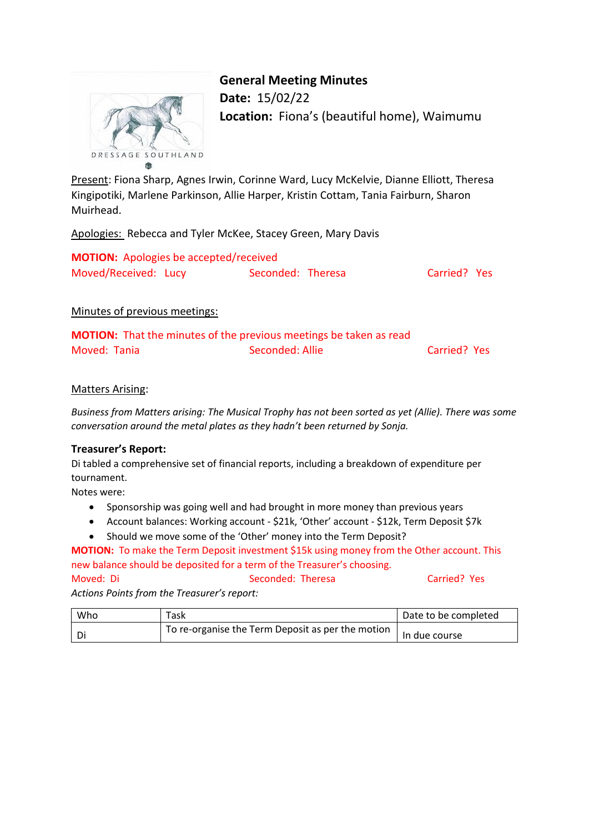

# **General Meeting Minutes**

**Date:** 15/02/22 **Location:** Fiona's (beautiful home), Waimumu

Present: Fiona Sharp, Agnes Irwin, Corinne Ward, Lucy McKelvie, Dianne Elliott, Theresa Kingipotiki, Marlene Parkinson, Allie Harper, Kristin Cottam, Tania Fairburn, Sharon Muirhead.

Apologies: Rebecca and Tyler McKee, Stacey Green, Mary Davis

| <b>MOTION:</b> Apologies be accepted/received |                   |              |  |
|-----------------------------------------------|-------------------|--------------|--|
| Moved/Received: Lucy                          | Seconded: Theresa | Carried? Yes |  |

# Minutes of previous meetings:

|              | <b>MOTION:</b> That the minutes of the previous meetings be taken as read |              |  |
|--------------|---------------------------------------------------------------------------|--------------|--|
| Moved: Tania | Seconded: Allie                                                           | Carried? Yes |  |

# Matters Arising:

*Business from Matters arising: The Musical Trophy has not been sorted as yet (Allie). There was some conversation around the metal plates as they hadn't been returned by Sonja.*

## **Treasurer's Report:**

Di tabled a comprehensive set of financial reports, including a breakdown of expenditure per tournament.

Notes were:

- Sponsorship was going well and had brought in more money than previous years
- Account balances: Working account \$21k, 'Other' account \$12k, Term Deposit \$7k
- Should we move some of the 'Other' money into the Term Deposit?

**MOTION:** To make the Term Deposit investment \$15k using money from the Other account. This new balance should be deposited for a term of the Treasurer's choosing.

Moved: Di Seconded: Theresa Carried? Yes *Actions Points from the Treasurer's report:*

| Who | Task                                                      | Date to be completed |
|-----|-----------------------------------------------------------|----------------------|
| Di  | To re-organise the Term Deposit as per the motion $\vert$ | In due course        |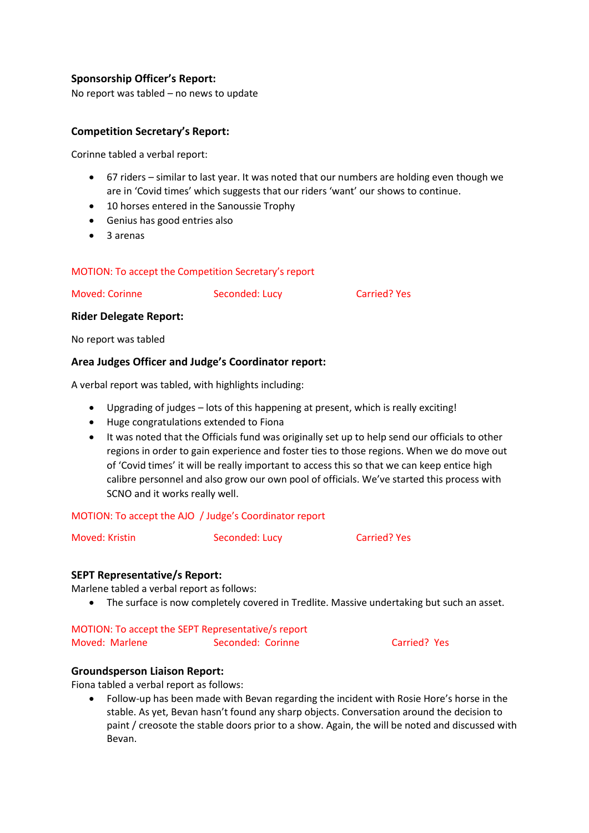# **Sponsorship Officer's Report:**

No report was tabled – no news to update

# **Competition Secretary's Report:**

Corinne tabled a verbal report:

- 67 riders similar to last year. It was noted that our numbers are holding even though we are in 'Covid times' which suggests that our riders 'want' our shows to continue.
- 10 horses entered in the Sanoussie Trophy
- Genius has good entries also
- 3 arenas

### MOTION: To accept the Competition Secretary's report

Moved: Corinne Seconded: Lucy Carried? Yes

#### **Rider Delegate Report:**

No report was tabled

### **Area Judges Officer and Judge's Coordinator report:**

A verbal report was tabled, with highlights including:

- Upgrading of judges lots of this happening at present, which is really exciting!
- Huge congratulations extended to Fiona
- It was noted that the Officials fund was originally set up to help send our officials to other regions in order to gain experience and foster ties to those regions. When we do move out of 'Covid times' it will be really important to access this so that we can keep entice high calibre personnel and also grow our own pool of officials. We've started this process with SCNO and it works really well.

#### MOTION: To accept the AJO / Judge's Coordinator report

Moved: Kristin Seconded: Lucy Carried? Yes

#### **SEPT Representative/s Report:**

Marlene tabled a verbal report as follows:

The surface is now completely covered in Tredlite. Massive undertaking but such an asset.

#### MOTION: To accept the SEPT Representative/s report

Moved: Marlene Seconded: Corinne Carried? Yes

#### **Groundsperson Liaison Report:**

Fiona tabled a verbal report as follows:

 Follow-up has been made with Bevan regarding the incident with Rosie Hore's horse in the stable. As yet, Bevan hasn't found any sharp objects. Conversation around the decision to paint / creosote the stable doors prior to a show. Again, the will be noted and discussed with Bevan.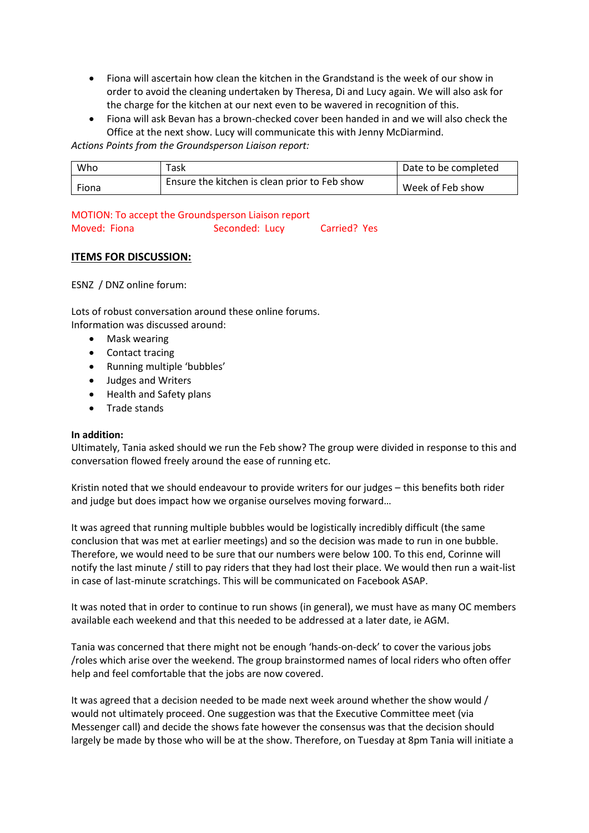- Fiona will ascertain how clean the kitchen in the Grandstand is the week of our show in order to avoid the cleaning undertaken by Theresa, Di and Lucy again. We will also ask for the charge for the kitchen at our next even to be wavered in recognition of this.
- Fiona will ask Bevan has a brown-checked cover been handed in and we will also check the Office at the next show. Lucy will communicate this with Jenny McDiarmind.

*Actions Points from the Groundsperson Liaison report:*

| Who   | Task                                          | Date to be completed |
|-------|-----------------------------------------------|----------------------|
| Fiona | Ensure the kitchen is clean prior to Feb show | Week of Feb show     |

## MOTION: To accept the Groundsperson Liaison report

| Moved: Fiona | Seconded: Lucy | Carried? Yes |
|--------------|----------------|--------------|

# **ITEMS FOR DISCUSSION:**

ESNZ / DNZ online forum:

Lots of robust conversation around these online forums. Information was discussed around:

- Mask wearing
- Contact tracing
- Running multiple 'bubbles'
- Judges and Writers
- Health and Safety plans
- Trade stands

#### **In addition:**

Ultimately, Tania asked should we run the Feb show? The group were divided in response to this and conversation flowed freely around the ease of running etc.

Kristin noted that we should endeavour to provide writers for our judges – this benefits both rider and judge but does impact how we organise ourselves moving forward…

It was agreed that running multiple bubbles would be logistically incredibly difficult (the same conclusion that was met at earlier meetings) and so the decision was made to run in one bubble. Therefore, we would need to be sure that our numbers were below 100. To this end, Corinne will notify the last minute / still to pay riders that they had lost their place. We would then run a wait-list in case of last-minute scratchings. This will be communicated on Facebook ASAP.

It was noted that in order to continue to run shows (in general), we must have as many OC members available each weekend and that this needed to be addressed at a later date, ie AGM.

Tania was concerned that there might not be enough 'hands-on-deck' to cover the various jobs /roles which arise over the weekend. The group brainstormed names of local riders who often offer help and feel comfortable that the jobs are now covered.

It was agreed that a decision needed to be made next week around whether the show would / would not ultimately proceed. One suggestion was that the Executive Committee meet (via Messenger call) and decide the shows fate however the consensus was that the decision should largely be made by those who will be at the show. Therefore, on Tuesday at 8pm Tania will initiate a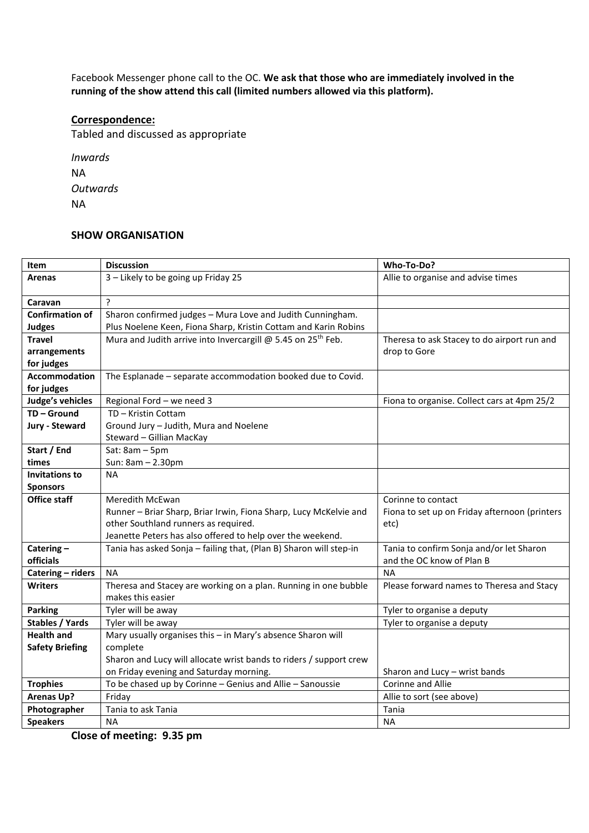Facebook Messenger phone call to the OC. **We ask that those who are immediately involved in the running of the show attend this call (limited numbers allowed via this platform).**

### **Correspondence:**

Tabled and discussed as appropriate

*Inwards* NA *Outwards* NA

## **SHOW ORGANISATION**

| Item                                   | <b>Discussion</b>                                                        | Who-To-Do?                                                          |
|----------------------------------------|--------------------------------------------------------------------------|---------------------------------------------------------------------|
| Arenas                                 | 3 - Likely to be going up Friday 25                                      | Allie to organise and advise times                                  |
|                                        |                                                                          |                                                                     |
| Caravan                                | $\overline{?}$                                                           |                                                                     |
| <b>Confirmation of</b>                 | Sharon confirmed judges - Mura Love and Judith Cunningham.               |                                                                     |
| <b>Judges</b>                          | Plus Noelene Keen, Fiona Sharp, Kristin Cottam and Karin Robins          |                                                                     |
| <b>Travel</b>                          | Mura and Judith arrive into Invercargill @ 5.45 on 25 <sup>th</sup> Feb. | Theresa to ask Stacey to do airport run and                         |
| arrangements                           |                                                                          | drop to Gore                                                        |
| for judges                             |                                                                          |                                                                     |
| <b>Accommodation</b>                   | The Esplanade - separate accommodation booked due to Covid.              |                                                                     |
| for judges                             |                                                                          |                                                                     |
| Judge's vehicles                       | Regional Ford - we need 3                                                | Fiona to organise. Collect cars at 4pm 25/2                         |
| TD-Ground                              | TD - Kristin Cottam                                                      |                                                                     |
| Jury - Steward                         | Ground Jury - Judith, Mura and Noelene                                   |                                                                     |
|                                        | Steward - Gillian MacKay                                                 |                                                                     |
| Start / End                            | Sat: 8am - 5pm                                                           |                                                                     |
| times                                  | Sun: 8am - 2.30pm                                                        |                                                                     |
| <b>Invitations to</b>                  | <b>NA</b>                                                                |                                                                     |
| <b>Sponsors</b><br><b>Office staff</b> | Meredith McEwan                                                          |                                                                     |
|                                        | Runner - Briar Sharp, Briar Irwin, Fiona Sharp, Lucy McKelvie and        | Corinne to contact<br>Fiona to set up on Friday afternoon (printers |
|                                        | other Southland runners as required.                                     | etc)                                                                |
|                                        | Jeanette Peters has also offered to help over the weekend.               |                                                                     |
| Catering $-$                           | Tania has asked Sonja - failing that, (Plan B) Sharon will step-in       | Tania to confirm Sonja and/or let Sharon                            |
| officials                              |                                                                          | and the OC know of Plan B                                           |
| Catering - riders                      | <b>NA</b>                                                                | <b>NA</b>                                                           |
| <b>Writers</b>                         | Theresa and Stacey are working on a plan. Running in one bubble          | Please forward names to Theresa and Stacy                           |
|                                        | makes this easier                                                        |                                                                     |
| <b>Parking</b>                         | Tyler will be away                                                       | Tyler to organise a deputy                                          |
| <b>Stables / Yards</b>                 | Tyler will be away                                                       | Tyler to organise a deputy                                          |
| <b>Health and</b>                      | Mary usually organises this - in Mary's absence Sharon will              |                                                                     |
| <b>Safety Briefing</b>                 | complete                                                                 |                                                                     |
|                                        | Sharon and Lucy will allocate wrist bands to riders / support crew       |                                                                     |
|                                        | on Friday evening and Saturday morning.                                  | Sharon and Lucy - wrist bands                                       |
| <b>Trophies</b>                        | To be chased up by Corinne - Genius and Allie - Sanoussie                | Corinne and Allie                                                   |
| <b>Arenas Up?</b>                      | Friday                                                                   | Allie to sort (see above)                                           |
| Photographer                           | Tania to ask Tania                                                       | Tania                                                               |
| <b>Speakers</b>                        | <b>NA</b>                                                                | <b>NA</b>                                                           |

**Close of meeting: 9.35 pm**